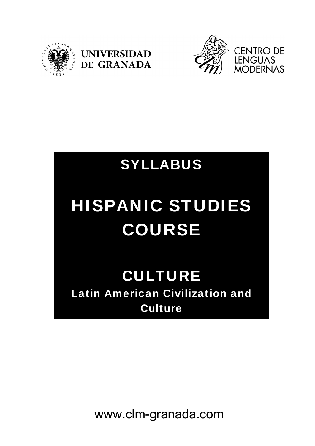





## SYLLABUS

# HISPANIC STUDIES COURSE

### CULTURE Latin American Civilization and **Culture**

www.clm-granada.com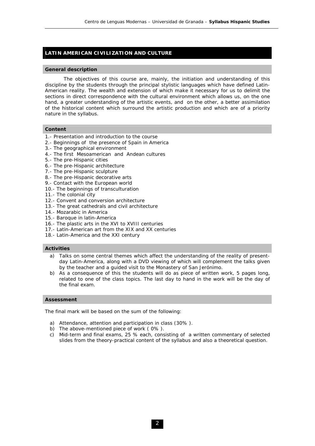#### **LATIN AMERICAN CIVILIZATION AND CULTURE**

#### **General description**

 The objectives of this course are, mainly, the initiation and understanding of this discipline by the students through the principal stylistic languages which have defined Latin-American reality. The wealth and extension of which make it necessary for us to delimit the sections in direct correspondence with the cultural environment which allows us, on the one hand, a greater understanding of the artistic events, and on the other, a better assimilation of the historical content which surround the artistic production and which are of a priority nature in the syllabus.

#### **Content**

- 1.- Presentation and introduction to the course
- 2.- Beginnings of the presence of Spain in America
- 3.- The geographical environment
- 4.- The first Mesoamerican and Andean cultures
- 5.- The pre-Hispanic cities
- 6.- The pre-Hispanic architecture
- 7.- The pre-Hispanic sculpture
- 8.- The pre-Hispanic decorative arts
- 9.- Contact with the European world
- 10.- The beginnings of transculturation
- 11.- The colonial city
- 12.- Convent and conversion architecture
- 13.- The great cathedrals and civil architecture
- 14.- Mozarabic in America
- 15.- Baroque in latin-America
- 16.- The plastic arts in the XVI to XVIII centuries
- 17.- Latin-American art from the XIX and XX centuries
- 18.- Latin-America and the XXI century

#### **Activities**

- a) Talks on some central themes which affect the understanding of the reality of presentday Latin-America, along with a DVD viewing of which will complement the talks given by the teacher and a guided visit to the Monastery of San Jerónimo.
- b) As a consequence of this the students will do as piece of written work, 5 pages long, related to one of the class topics. The last day to hand in the work will be the day of the final exam.

#### **Assessment**

The final mark will be based on the sum of the following:

- a) Attendance, attention and participation in class (30% ).
- b) The above-mentioned piece of work ( 0% ).
- c) Mid-term and final exams, 25 % each, consisting of a written commentary of selected slides from the theory-practical content of the syllabus and also a theoretical question.